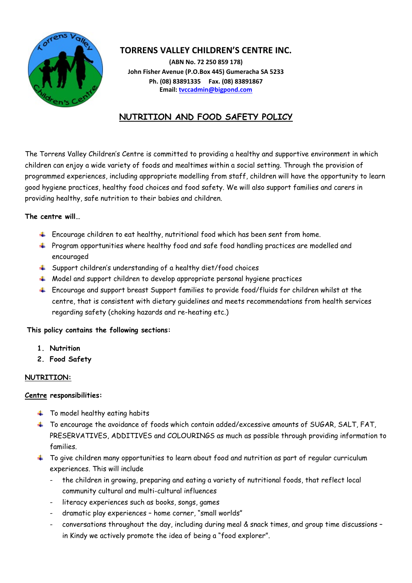

# **TORRENS VALLEY CHILDREN'S CENTRE INC.**

**(ABN No. 72 250 859 178) John Fisher Avenue (P.O.Box 445) Gumeracha SA 5233 Ph. (08) 83891335 Fax. (08) 83891867 Email[: tvccadmin@bigpond.com](mailto:tvccadmin@bigpond.com)**

# **NUTRITION AND FOOD SAFETY POLICY**

The Torrens Valley Children's Centre is committed to providing a healthy and supportive environment in which children can enjoy a wide variety of foods and mealtimes within a social setting. Through the provision of programmed experiences, including appropriate modelling from staff, children will have the opportunity to learn good hygiene practices, healthy food choices and food safety. We will also support families and carers in providing healthy, safe nutrition to their babies and children.

# **The centre will…**

- $\ddot{+}$  Encourage children to eat healthy, nutritional food which has been sent from home.
- Program opportunities where healthy food and safe food handling practices are modelled and encouraged
- Support children's understanding of a healthy diet/food choices
- $\textcolor{red}{\textbf{4}}$  Model and support children to develop appropriate personal hygiene practices
- $\ddot{\phantom{1}}$  Encourage and support breast Support families to provide food/fluids for children whilst at the centre, that is consistent with dietary guidelines and meets recommendations from health services regarding safety (choking hazards and re-heating etc.)

# **This policy contains the following sections:**

- **1. Nutrition**
- **2. Food Safety**

#### **NUTRITION:**

#### **Centre responsibilities:**

- $\ddot{\bullet}$  To model healthy eating habits
- To encourage the avoidance of foods which contain added/excessive amounts of SUGAR, SALT, FAT, PRESERVATIVES, ADDITIVES and COLOURINGS as much as possible through providing information to families.
- $\pm$  To give children many opportunities to learn about food and nutrition as part of regular curriculum experiences. This will include
	- the children in growing, preparing and eating a variety of nutritional foods, that reflect local community cultural and multi-cultural influences
	- literacy experiences such as books, songs, games
	- dramatic play experiences home corner, "small worlds"
	- conversations throughout the day, including during meal & snack times, and group time discussions in Kindy we actively promote the idea of being a "food explorer".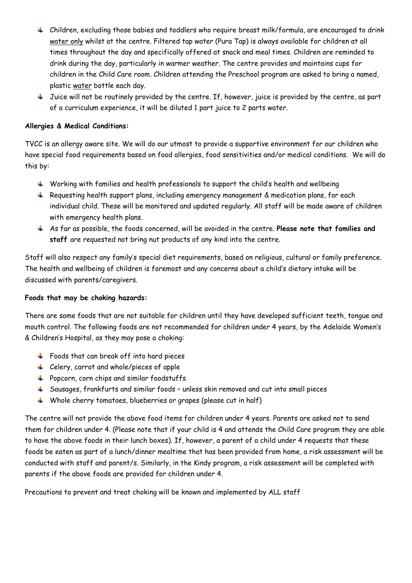- Children, excluding those babies and toddlers who require breast milk/formula, are encouraged to drink water only whilst at the centre. Filtered tap water (Pura Tap) is always available for children at all times throughout the day and specifically offered at snack and meal times. Children are reminded to drink during the day, particularly in warmer weather. The centre provides and maintains cups for children in the Child Care room. Children attending the Preschool program are asked to bring a named, plastic water bottle each day.
- $\ddot{\phantom{1}}$  Juice will not be routinely provided by the centre. If, however, juice is provided by the centre, as part of a curriculum experience, it will be diluted 1 part juice to 2 parts water.

## **Allergies & Medical Conditions:**

TVCC is an allergy aware site. We will do our utmost to provide a supportive environment for our children who have special food requirements based on food allergies, food sensitivities and/or medical conditions. We will do this by:

- $\ddotplus$  Working with families and health professionals to support the child's health and wellbeing
- $\ddot{+}$  Requesting health support plans, including emergency management & medication plans, for each individual child. These will be monitored and updated regularly. All staff will be made aware of children with emergency health plans.
- As far as possible, the foods concerned, will be avoided in the centre. **Please note that families and staff** are requested not bring nut products of any kind into the centre.

Staff will also respect any family's special diet requirements, based on religious, cultural or family preference. The health and wellbeing of children is foremost and any concerns about a child's dietary intake will be discussed with parents/caregivers.

#### **Foods that may be choking hazards:**

There are some foods that are not suitable for children until they have developed sufficient teeth, tongue and mouth control. The following foods are not recommended for children under 4 years, by the Adelaide Women's & Children's Hospital, as they may pose a choking:

- Foods that can break off into hard pieces
- Celery, carrot and whole/pieces of apple
- $\ddot{\bullet}$  Popcorn, corn chips and similar foodstuffs
- Sausages, frankfurts and similar foods unless skin removed and cut into small pieces
- $\downarrow$  Whole cherry tomatoes, blueberries or grapes (please cut in half)

The centre will not provide the above food items for children under 4 years. Parents are asked not to send them for children under 4. (Please note that if your child is 4 and attends the Child Care program they are able to have the above foods in their lunch boxes). If, however, a parent of a child under 4 requests that these foods be eaten as part of a lunch/dinner mealtime that has been provided from home, a risk assessment will be conducted with staff and parent/s. Similarly, in the Kindy program, a risk assessment will be completed with parents if the above foods are provided for children under 4.

Precautions to prevent and treat choking will be known and implemented by ALL staff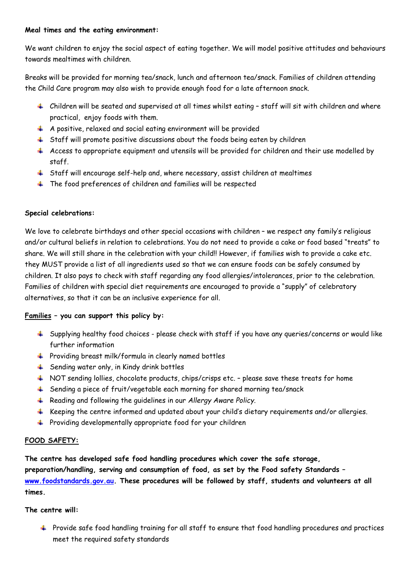#### **Meal times and the eating environment:**

We want children to enjoy the social aspect of eating together. We will model positive attitudes and behaviours towards mealtimes with children.

Breaks will be provided for morning tea/snack, lunch and afternoon tea/snack. Families of children attending the Child Care program may also wish to provide enough food for a late afternoon snack.

- $\ddot{\phantom{1}}$  Children will be seated and supervised at all times whilst eating staff will sit with children and where practical, enjoy foods with them.
- $\overline{+}$  A positive, relaxed and social eating environment will be provided
- $\ddot{\phantom{1}}$  Staff will promote positive discussions about the foods being eaten by children
- $\ddot{+}$  Access to appropriate equipment and utensils will be provided for children and their use modelled by staff.
- Staff will encourage self-help and, where necessary, assist children at mealtimes
- $\ddot{\phantom{1}}$  The food preferences of children and families will be respected

## **Special celebrations:**

We love to celebrate birthdays and other special occasions with children – we respect any family's religious and/or cultural beliefs in relation to celebrations. You do not need to provide a cake or food based "treats" to share. We will still share in the celebration with your child!! However, if families wish to provide a cake etc. they MUST provide a list of all ingredients used so that we can ensure foods can be safely consumed by children. It also pays to check with staff regarding any food allergies/intolerances, prior to the celebration. Families of children with special diet requirements are encouraged to provide a "supply" of celebratory alternatives, so that it can be an inclusive experience for all.

# **Families – you can support this policy by:**

- $\ddot{\phantom{1}}$  Supplying healthy food choices please check with staff if you have any queries/concerns or would like further information
- $+$  Providing breast milk/formula in clearly named bottles
- $\frac{1}{2}$  Sending water only, in Kindy drink bottles
- $\textcolor{red}{\blacklozenge}$  NOT sending lollies, chocolate products, chips/crisps etc. please save these treats for home
- Sending a piece of fruit/vegetable each morning for shared morning tea/snack
- Reading and following the guidelines in our *Allergy Aware Policy.*
- $\ddot{\phantom{1}}$  Keeping the centre informed and updated about your child's dietary requirements and/or allergies.
- $\ddot{+}$  Providing developmentally appropriate food for your children

# **FOOD SAFETY:**

**The centre has developed safe food handling procedures which cover the safe storage, preparation/handling, serving and consumption of food, as set by the Food safety Standards – [www.foodstandards.gov.au.](http://www.foodstandards.gov.au/) These procedures will be followed by staff, students and volunteers at all times.**

#### **The centre will:**

 $\ddotplus$  Provide safe food handling training for all staff to ensure that food handling procedures and practices meet the required safety standards